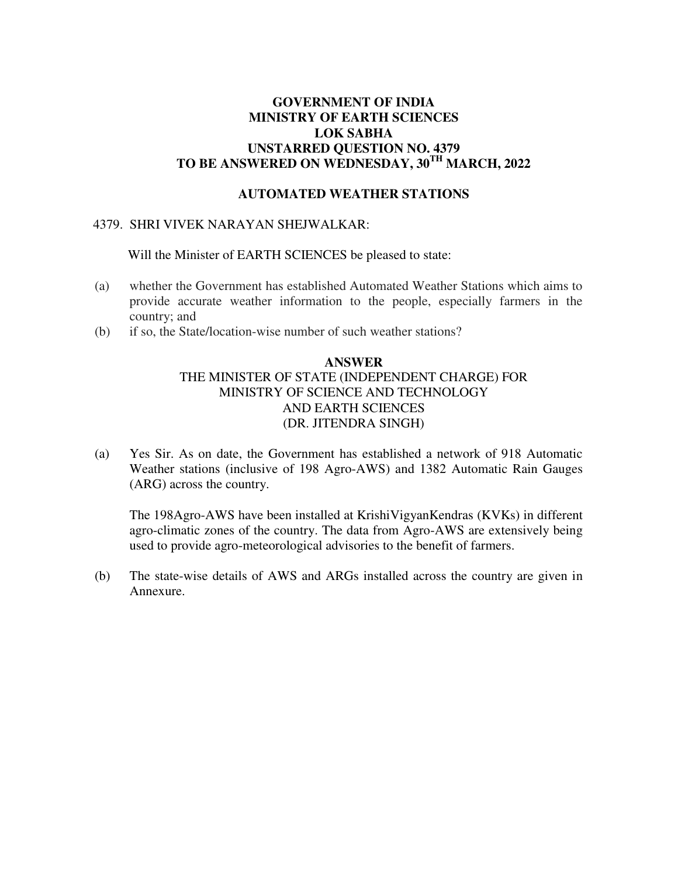# **GOVERNMENT OF INDIA MINISTRY OF EARTH SCIENCES LOK SABHA UNSTARRED QUESTION NO. 4379 TO BE ANSWERED ON WEDNESDAY, 30TH MARCH, 2022**

### **AUTOMATED WEATHER STATIONS**

## 4379. SHRI VIVEK NARAYAN SHEJWALKAR:

Will the Minister of EARTH SCIENCES be pleased to state:

- (a) whether the Government has established Automated Weather Stations which aims to provide accurate weather information to the people, especially farmers in the country; and
- (b) if so, the State/location-wise number of such weather stations?

## **ANSWER**  THE MINISTER OF STATE (INDEPENDENT CHARGE) FOR MINISTRY OF SCIENCE AND TECHNOLOGY AND EARTH SCIENCES (DR. JITENDRA SINGH)

(a) Yes Sir. As on date, the Government has established a network of 918 Automatic Weather stations (inclusive of 198 Agro-AWS) and 1382 Automatic Rain Gauges (ARG) across the country.

The 198Agro-AWS have been installed at KrishiVigyanKendras (KVKs) in different agro-climatic zones of the country. The data from Agro-AWS are extensively being used to provide agro-meteorological advisories to the benefit of farmers.

(b) The state-wise details of AWS and ARGs installed across the country are given in Annexure.